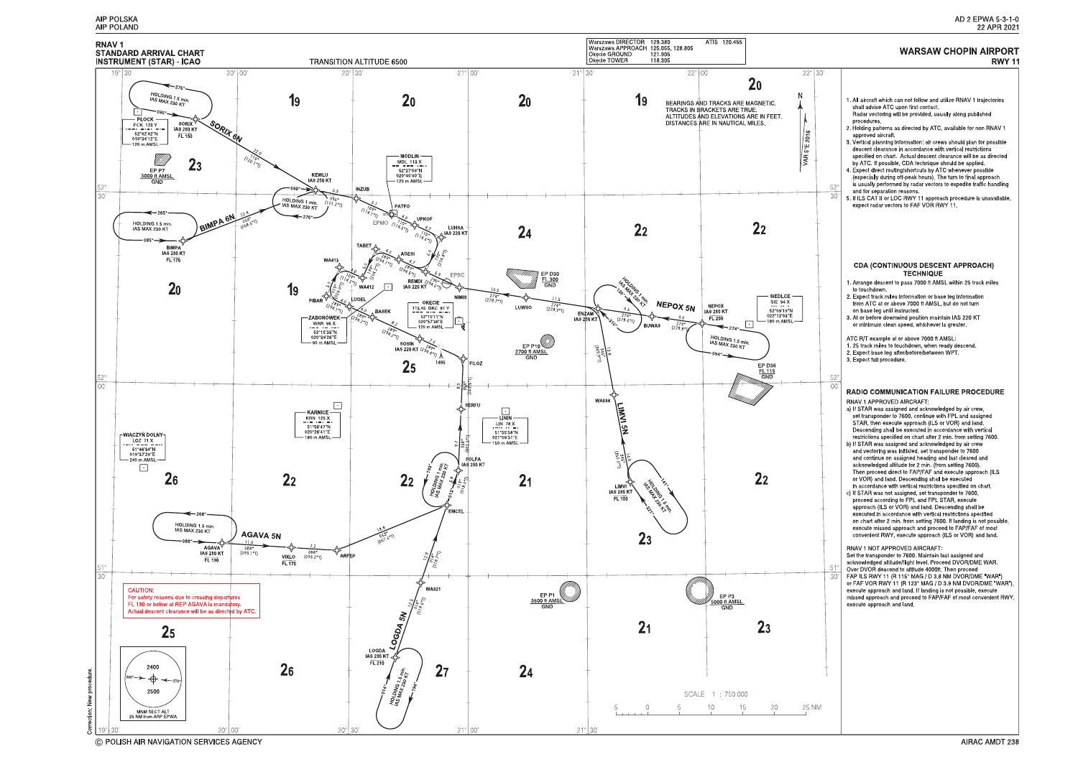

C POLISH AIR NAVIGATION SERVICES AGENCY

#### AD 2 EPWA 5-3-1-0 22 APR 2021

#### **WARSAW CHOPIN AIRPORT RWY 11**

1. All aircraft which can not follow and utilize RNAV 1 trajectories shall advise ATC upon first contact. Radar vectoring will be provided, usually along published procedures. 2. Holding patterns as directed by ATC, available for non RNAV 1 approved aircraft 3. Vertical planning information: air crews should plan for possible descent clearance in accordance with vertical restrictions<br>specified on chart. Actual descent clearance will be as directed by ATC. If possible, CDA technique should be applied. 4. Expect direct routing/shortcuts by ATC whenever possible (especially during off-peak hours). The turn to final approach is usually performed by radar vectors to expedite traffic handling and for separation reasons.  $\overline{30}$ 5. If ILS CAT II or LOC RWY 11 approach procedure is unavailable, expect radar vectors to FAF VOR RWY 11 **CDA (CONTINUOUS DESCENT APPROACH) TECHNIQUE** 1. Arrange descent to pass 7000 ft AMSL within 25 track miles to touchdown. 2. Expect track miles information or base leg information<br>from ATC at or above 7000 ft AMSL, but do not turn on base leg until instructed. 3. At or before downwind position maintain IAS 220 KT or minimum clean speed, whichever is greater ATC R/T example at or above 7000 ft AMSL. 1.25 track miles to touchdown, when ready descend. 2. Expect base leg after/before/between WPT. 3 Expect full procedure.  $\Omega$ **RADIO COMMUNICATION FAILURE PROCEDURE** RNAV 1 APPROVED AIRCRAFT. a) If STAR was assigned and acknowledged by air crew, set transponder to 7600, continue with FPL and assigned STAR, then execute approach (ILS or VOR) and land.<br>Descending shall be executed in accordance with vertical restrictions specified on chart after 2 min. from setting 7600. b) If STAR was assigned and acknowledged by air crew and vectoring was initiated, set transponder to 7600 and continue on assigned heading and last cleared and acknowledged altitude for 2 min. (from setting 7600). Then proceed direct to FAP/FAF and execute approach (ILS or VOR) and land. Descending shall be executed<br>in accordance with vertical restrictions specified on chart. c) If STAR was not assigned, set transponder to 7600, proceed according to FPL and FPL STAR, execute approach (ILS or VOR) and land. Descending shall be executed in accordance with vertical restrictions specified on chart after 2 min. from setting 7600. If landing is not possible, execute missed approach and proceed to FAP/FAF of most convenient RWY, execute approach (ILS or VOR) and land. RNAV 1 NOT APPROVED AIRCRAFT: Set the transponder to 7600. Maintain last assigned and<br>acknowledged altitude/flight level. Proceed DVOR/DME WAR. Over DVOR descend to altitude 4000ft. Then proceed FAP ILS RWY 11 (R 115° MAG / D 3.8 NM DVOR/DME "WAR") or FAF VOR RWY 11 (R 123° MAG / D 3 9 NM DVOR/DME "WAR"), execute approach and land. If landing is not possible, execute<br>missed approach and land. If landing is not possible, execute<br>missed approach and proceed to FAP/FAF of most convenient RWY, execute approach and land.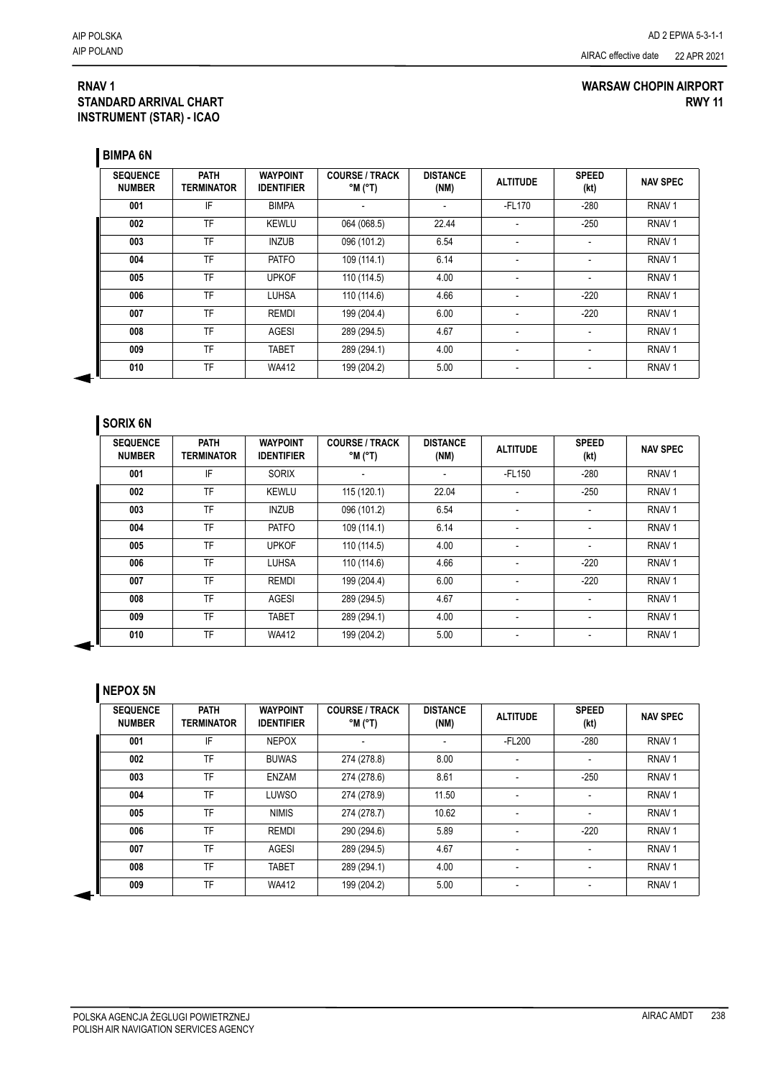### **RNAV 1 STANDARD ARRIVAL CHART INSTRUMENT (STAR) - ICAO**

### **WARSAW CHOPIN AIRPORT RWY 11**

**BIMPA 6N**

| <b>SEQUENCE</b><br><b>NUMBER</b> | <b>PATH</b><br><b>TERMINATOR</b> | <b>WAYPOINT</b><br><b>IDENTIFIER</b> | <b>COURSE / TRACK</b><br>$^{\circ}$ M ( $^{\circ}$ T) | <b>DISTANCE</b><br>(NM) | <b>ALTITUDE</b>          | <b>SPEED</b><br>(kt) | <b>NAV SPEC</b>   |
|----------------------------------|----------------------------------|--------------------------------------|-------------------------------------------------------|-------------------------|--------------------------|----------------------|-------------------|
| 001                              | IF                               | <b>BIMPA</b>                         |                                                       |                         | $-FL170$                 | $-280$               | RNAV <sub>1</sub> |
| 002                              | TF                               | <b>KEWLU</b>                         | 064 (068.5)                                           | 22.44                   | $\overline{\phantom{a}}$ | $-250$               | RNAV <sub>1</sub> |
| 003                              | <b>TF</b>                        | <b>INZUB</b>                         | 096 (101.2)                                           | 6.54                    | ٠                        |                      | RNAV <sub>1</sub> |
| 004                              | TF                               | <b>PATFO</b>                         | 109 (114.1)                                           | 6.14                    |                          |                      | RNAV <sub>1</sub> |
| 005                              | TF                               | <b>UPKOF</b>                         | 110 (114.5)                                           | 4.00                    | $\overline{\phantom{a}}$ |                      | RNAV <sub>1</sub> |
| 006                              | TF                               | <b>LUHSA</b>                         | 110 (114.6)                                           | 4.66                    | $\overline{\phantom{a}}$ | $-220$               | RNAV <sub>1</sub> |
| 007                              | TF                               | <b>REMDI</b>                         | 199 (204.4)                                           | 6.00                    |                          | $-220$               | RNAV <sub>1</sub> |
| 008                              | TF                               | <b>AGESI</b>                         | 289 (294.5)                                           | 4.67                    | $\overline{\phantom{a}}$ |                      | RNAV <sub>1</sub> |
| 009                              | TF                               | <b>TABET</b>                         | 289 (294.1)                                           | 4.00                    | $\overline{\phantom{a}}$ |                      | RNAV <sub>1</sub> |
| 010                              | TF                               | <b>WA412</b>                         | 199 (204.2)                                           | 5.00                    | $\overline{\phantom{a}}$ |                      | RNAV <sub>1</sub> |

## **SORIX 6N**

| <b>SEQUENCE</b><br><b>NUMBER</b> | <b>PATH</b><br><b>TERMINATOR</b> | <b>WAYPOINT</b><br><b>IDENTIFIER</b> | <b>COURSE / TRACK</b><br>$^{\circ}$ M ( $^{\circ}$ T) | <b>DISTANCE</b><br>(NM)  | <b>ALTITUDE</b>          | <b>SPEED</b><br>(kt) | <b>NAV SPEC</b>   |
|----------------------------------|----------------------------------|--------------------------------------|-------------------------------------------------------|--------------------------|--------------------------|----------------------|-------------------|
| 001                              | IF                               | <b>SORIX</b>                         | $\overline{\phantom{a}}$                              | $\overline{\phantom{0}}$ | $-FL150$                 | $-280$               | RNAV <sub>1</sub> |
| 002                              | TF                               | <b>KEWLU</b>                         | 115 (120.1)                                           | 22.04                    | $\blacksquare$           | $-250$               | RNAV <sub>1</sub> |
| 003                              | TF                               | <b>INZUB</b>                         | 096 (101.2)                                           | 6.54                     | $\blacksquare$           |                      | RNAV <sub>1</sub> |
| 004                              | TF                               | PATFO                                | 109 (114.1)                                           | 6.14                     | $\blacksquare$           |                      | RNAV <sub>1</sub> |
| 005                              | TF                               | <b>UPKOF</b>                         | 110 (114.5)                                           | 4.00                     | $\overline{\phantom{a}}$ |                      | RNAV <sub>1</sub> |
| 006                              | TF                               | <b>LUHSA</b>                         | 110 (114.6)                                           | 4.66                     | $\blacksquare$           | $-220$               | RNAV <sub>1</sub> |
| 007                              | TF                               | <b>REMDI</b>                         | 199 (204.4)                                           | 6.00                     | $\overline{\phantom{a}}$ | $-220$               | RNAV <sub>1</sub> |
| 008                              | TF                               | AGESI                                | 289 (294.5)                                           | 4.67                     | $\blacksquare$           |                      | RNAV <sub>1</sub> |
| 009                              | <b>TF</b>                        | <b>TABET</b>                         | 289 (294.1)                                           | 4.00                     | $\blacksquare$           |                      | RNAV <sub>1</sub> |
| 010                              | TF                               | <b>WA412</b>                         | 199 (204.2)                                           | 5.00                     | $\overline{\phantom{a}}$ |                      | RNAV <sub>1</sub> |

### **NEPOX 5N**

| <b>SEQUENCE</b><br><b>NUMBER</b> | <b>PATH</b><br><b>TERMINATOR</b> | <b>WAYPOINT</b><br><b>IDENTIFIER</b> | <b>COURSE / TRACK</b><br>$(T^{\circ})$ M $^{\circ}$ | <b>DISTANCE</b><br>(NM) | <b>ALTITUDE</b> | <b>SPEED</b><br>(kt)     | <b>NAV SPEC</b>   |
|----------------------------------|----------------------------------|--------------------------------------|-----------------------------------------------------|-------------------------|-----------------|--------------------------|-------------------|
| 001                              | IF                               | <b>NEPOX</b>                         |                                                     |                         | $-FL200$        | $-280$                   | RNAV <sub>1</sub> |
| 002                              | <b>TF</b>                        | <b>BUWAS</b>                         | 274 (278.8)                                         | 8.00                    |                 | $\overline{\phantom{a}}$ | RNAV <sub>1</sub> |
| 003                              | TF                               | <b>ENZAM</b>                         | 274 (278.6)                                         | 8.61                    |                 | $-250$                   | RNAV <sub>1</sub> |
| 004                              | TF                               | LUWSO                                | 274 (278.9)                                         | 11.50                   |                 | ٠                        | RNAV <sub>1</sub> |
| 005                              | TF                               | <b>NIMIS</b>                         | 274 (278.7)                                         | 10.62                   | $\blacksquare$  | $\overline{\phantom{a}}$ | RNAV <sub>1</sub> |
| 006                              | TF                               | REMDI                                | 290 (294.6)                                         | 5.89                    |                 | $-220$                   | RNAV <sub>1</sub> |
| 007                              | TF                               | <b>AGESI</b>                         | 289 (294.5)                                         | 4.67                    | $\blacksquare$  | $\blacksquare$           | RNAV <sub>1</sub> |
| 008                              | TF                               | <b>TABET</b>                         | 289 (294.1)                                         | 4.00                    | $\blacksquare$  | $\overline{\phantom{a}}$ | RNAV <sub>1</sub> |
| 009                              | TF                               | <b>WA412</b>                         | 199 (204.2)                                         | 5.00                    | $\blacksquare$  |                          | RNAV <sub>1</sub> |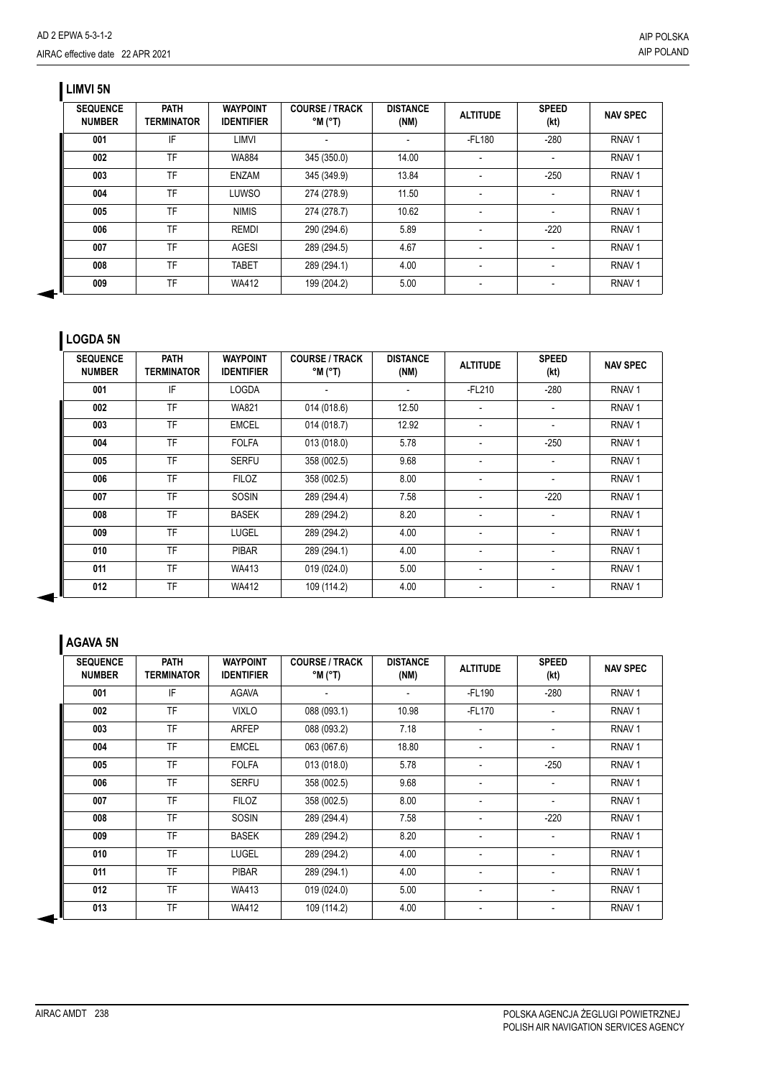## **LIMVI 5N**

| <b>SEQUENCE</b><br><b>NUMBER</b> | <b>PATH</b><br><b>TERMINATOR</b> | <b>WAYPOINT</b><br><b>IDENTIFIER</b> | <b>COURSE / TRACK</b><br>$^{\circ}$ M ( $^{\circ}$ T) | <b>DISTANCE</b><br>(NM) | <b>ALTITUDE</b> | <b>SPEED</b><br>(kt) | <b>NAV SPEC</b>   |
|----------------------------------|----------------------------------|--------------------------------------|-------------------------------------------------------|-------------------------|-----------------|----------------------|-------------------|
| 001                              | IF                               | LIMVI                                |                                                       |                         | -FL180          | $-280$               | RNAV <sub>1</sub> |
| 002                              | TF                               | <b>WA884</b>                         | 345 (350.0)                                           | 14.00                   |                 |                      | RNAV <sub>1</sub> |
| 003                              | TF                               | <b>ENZAM</b>                         | 345 (349.9)                                           | 13.84                   |                 | $-250$               | RNAV <sub>1</sub> |
| 004                              | <b>TF</b>                        | LUWSO                                | 274 (278.9)                                           | 11.50                   |                 |                      | RNAV <sub>1</sub> |
| 005                              | TF                               | <b>NIMIS</b>                         | 274 (278.7)                                           | 10.62                   |                 |                      | RNAV <sub>1</sub> |
| 006                              | <b>TF</b>                        | <b>REMDI</b>                         | 290 (294.6)                                           | 5.89                    |                 | $-220$               | RNAV <sub>1</sub> |
| 007                              | TF                               | AGESI                                | 289 (294.5)                                           | 4.67                    |                 |                      | RNAV <sub>1</sub> |
| 008                              | TF                               | <b>TABET</b>                         | 289 (294.1)                                           | 4.00                    |                 |                      | RNAV <sub>1</sub> |
| 009                              | TF                               | <b>WA412</b>                         | 199 (204.2)                                           | 5.00                    |                 |                      | RNAV <sub>1</sub> |

# **LOGDA 5N**

| <b>SEQUENCE</b><br><b>NUMBER</b> | <b>PATH</b><br>TERMINATOR | <b>WAYPOINT</b><br><b>IDENTIFIER</b> | <b>COURSE / TRACK</b><br>$(T^{\circ})$ M $^{\circ}$ | <b>DISTANCE</b><br>(NM)  | <b>ALTITUDE</b>          | <b>SPEED</b><br>(kt) | <b>NAV SPEC</b>   |
|----------------------------------|---------------------------|--------------------------------------|-----------------------------------------------------|--------------------------|--------------------------|----------------------|-------------------|
| 001                              | IF                        | <b>LOGDA</b>                         | $\blacksquare$                                      | $\overline{\phantom{a}}$ | $-FL210$                 | $-280$               | RNAV <sub>1</sub> |
| 002                              | <b>TF</b>                 | <b>WA821</b>                         | 014 (018.6)                                         | 12.50                    | -                        | $\overline{a}$       | RNAV <sub>1</sub> |
| 003                              | <b>TF</b>                 | <b>EMCEL</b>                         | 014 (018.7)                                         | 12.92                    | $\overline{a}$           |                      | RNAV <sub>1</sub> |
| 004                              | <b>TF</b>                 | <b>FOLFA</b>                         | 013 (018.0)                                         | 5.78                     | $\overline{\phantom{a}}$ | $-250$               | RNAV <sub>1</sub> |
| 005                              | <b>TF</b>                 | <b>SERFU</b>                         | 358 (002.5)                                         | 9.68                     | -                        | $\overline{a}$       | RNAV <sub>1</sub> |
| 006                              | <b>TF</b>                 | <b>FILOZ</b>                         | 358 (002.5)                                         | 8.00                     | $\overline{a}$           |                      | RNAV <sub>1</sub> |
| 007                              | <b>TF</b>                 | <b>SOSIN</b>                         | 289 (294.4)                                         | 7.58                     | $\overline{\phantom{a}}$ | $-220$               | RNAV <sub>1</sub> |
| 008                              | <b>TF</b>                 | <b>BASEK</b>                         | 289 (294.2)                                         | 8.20                     | -                        | $\overline{a}$       | RNAV <sub>1</sub> |
| 009                              | <b>TF</b>                 | <b>LUGEL</b>                         | 289 (294.2)                                         | 4.00                     | $\overline{a}$           |                      | RNAV <sub>1</sub> |
| 010                              | <b>TF</b>                 | <b>PIBAR</b>                         | 289 (294.1)                                         | 4.00                     | $\overline{\phantom{a}}$ | $\overline{a}$       | RNAV <sub>1</sub> |
| 011                              | <b>TF</b>                 | <b>WA413</b>                         | 019 (024.0)                                         | 5.00                     | $\overline{\phantom{a}}$ | $\overline{a}$       | RNAV <sub>1</sub> |
| 012                              | <b>TF</b>                 | <b>WA412</b>                         | 109 (114.2)                                         | 4.00                     | -                        |                      | RNAV <sub>1</sub> |

## **AGAVA 5N**

| <b>SEQUENCE</b><br><b>NUMBER</b> | <b>PATH</b><br><b>TERMINATOR</b> | <b>WAYPOINT</b><br><b>IDENTIFIER</b> | <b>COURSE / TRACK</b><br>$^{\circ}$ M ( $^{\circ}$ T) | <b>DISTANCE</b><br>(NM) | <b>ALTITUDE</b>          | <b>SPEED</b><br>(kt) | <b>NAV SPEC</b>   |
|----------------------------------|----------------------------------|--------------------------------------|-------------------------------------------------------|-------------------------|--------------------------|----------------------|-------------------|
| 001                              | IF                               | <b>AGAVA</b>                         |                                                       |                         | $-FL190$                 | $-280$               | RNAV <sub>1</sub> |
| 002                              | <b>TF</b>                        | <b>VIXLO</b>                         | 088 (093.1)                                           | 10.98                   | $-FL170$                 |                      | RNAV <sub>1</sub> |
| 003                              | <b>TF</b>                        | <b>ARFEP</b>                         | 088 (093.2)                                           | 7.18                    | $\overline{\phantom{a}}$ |                      | RNAV <sub>1</sub> |
| 004                              | <b>TF</b>                        | <b>EMCEL</b>                         | 063 (067.6)                                           | 18.80                   |                          |                      | RNAV <sub>1</sub> |
| 005                              | <b>TF</b>                        | <b>FOLFA</b>                         | 013 (018.0)                                           | 5.78                    |                          | $-250$               | RNAV <sub>1</sub> |
| 006                              | <b>TF</b>                        | <b>SERFU</b>                         | 358 (002.5)                                           | 9.68                    | $\overline{\phantom{a}}$ |                      | RNAV <sub>1</sub> |
| 007                              | <b>TF</b>                        | <b>FILOZ</b>                         | 358 (002.5)                                           | 8.00                    |                          |                      | RNAV <sub>1</sub> |
| 008                              | <b>TF</b>                        | <b>SOSIN</b>                         | 289 (294.4)                                           | 7.58                    |                          | $-220$               | RNAV <sub>1</sub> |
| 009                              | <b>TF</b>                        | <b>BASEK</b>                         | 289 (294.2)                                           | 8.20                    |                          |                      | RNAV <sub>1</sub> |
| 010                              | <b>TF</b>                        | <b>LUGEL</b>                         | 289 (294.2)                                           | 4.00                    |                          |                      | RNAV <sub>1</sub> |
| 011                              | <b>TF</b>                        | <b>PIBAR</b>                         | 289 (294.1)                                           | 4.00                    |                          |                      | RNAV <sub>1</sub> |
| 012                              | TF                               | <b>WA413</b>                         | 019 (024.0)                                           | 5.00                    |                          |                      | RNAV <sub>1</sub> |
| 013                              | <b>TF</b>                        | <b>WA412</b>                         | 109 (114.2)                                           | 4.00                    |                          |                      | RNAV <sub>1</sub> |